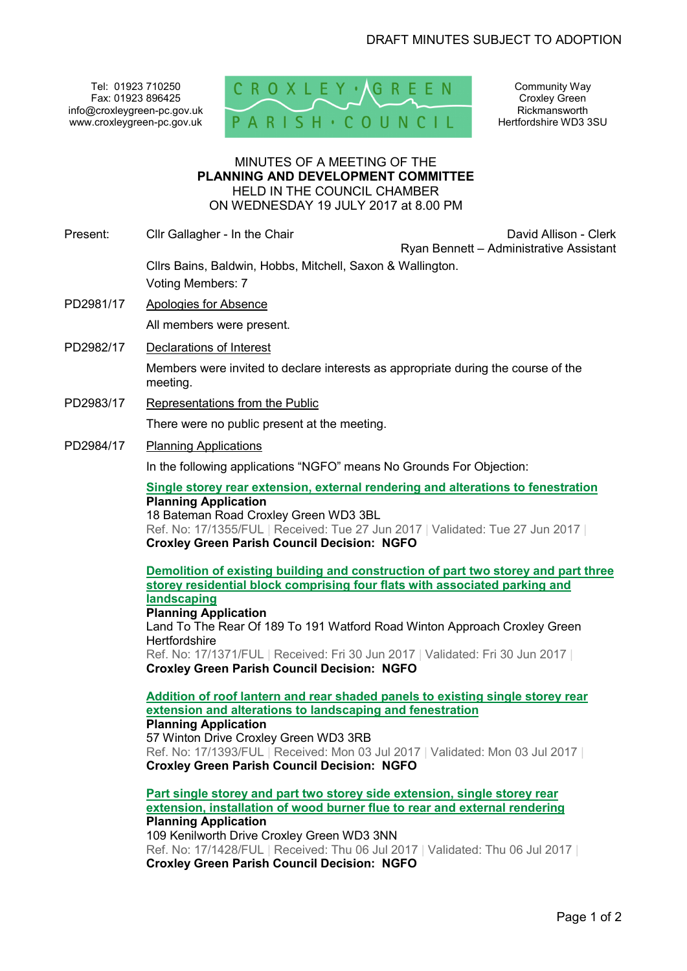Tel: 01923 710250 Fax: 01923 896425 info@croxleygreen-pc.gov.uk www.croxleygreen-pc.gov.uk



Community Way Croxley Green Rickmansworth Hertfordshire WD3 3SU

#### MINUTES OF A MEETING OF THE **PLANNING AND DEVELOPMENT COMMITTEE** HELD IN THE COUNCIL CHAMBER ON WEDNESDAY 19 JULY 2017 at 8.00 PM

Present: Clir Gallagher - In the Chair Chair David Allison - Clerk

Ryan Bennett – Administrative Assistant

Cllrs Bains, Baldwin, Hobbs, Mitchell, Saxon & Wallington. Voting Members: 7

- PD2981/17 Apologies for Absence All members were present.
- PD2982/17 Declarations of Interest

Members were invited to declare interests as appropriate during the course of the meeting.

PD2983/17 Representations from the Public

There were no public present at the meeting.

PD2984/17 Planning Applications

In the following applications "NGFO" means No Grounds For Objection:

**Single storey rear extension, external rendering and alterations to fenestration Planning Application** 

18 Bateman Road Croxley Green WD3 3BL Ref. No: 17/1355/FUL | Received: Tue 27 Jun 2017 | Validated: Tue 27 Jun 2017 | **Croxley Green Parish Council Decision: NGFO**

**Demolition of existing building and construction of part two storey and part three storey residential block comprising four flats with associated parking and landscaping**

**Planning Application**  Land To The Rear Of 189 To 191 Watford Road Winton Approach Croxley Green **Hertfordshire** Ref. No: 17/1371/FUL | Received: Fri 30 Jun 2017 | Validated: Fri 30 Jun 2017 |

**Croxley Green Parish Council Decision: NGFO**

**Addition of roof lantern and rear shaded panels to existing single storey rear extension and alterations to landscaping and fenestration Planning Application**  57 Winton Drive Croxley Green WD3 3RB

Ref. No: 17/1393/FUL | Received: Mon 03 Jul 2017 | Validated: Mon 03 Jul 2017 | **Croxley Green Parish Council Decision: NGFO**

**Part single storey and part two storey side extension, single storey rear extension, installation of wood burner flue to rear and external rendering Planning Application** 

109 Kenilworth Drive Croxley Green WD3 3NN Ref. No: 17/1428/FUL | Received: Thu 06 Jul 2017 | Validated: Thu 06 Jul 2017 | **Croxley Green Parish Council Decision: NGFO**